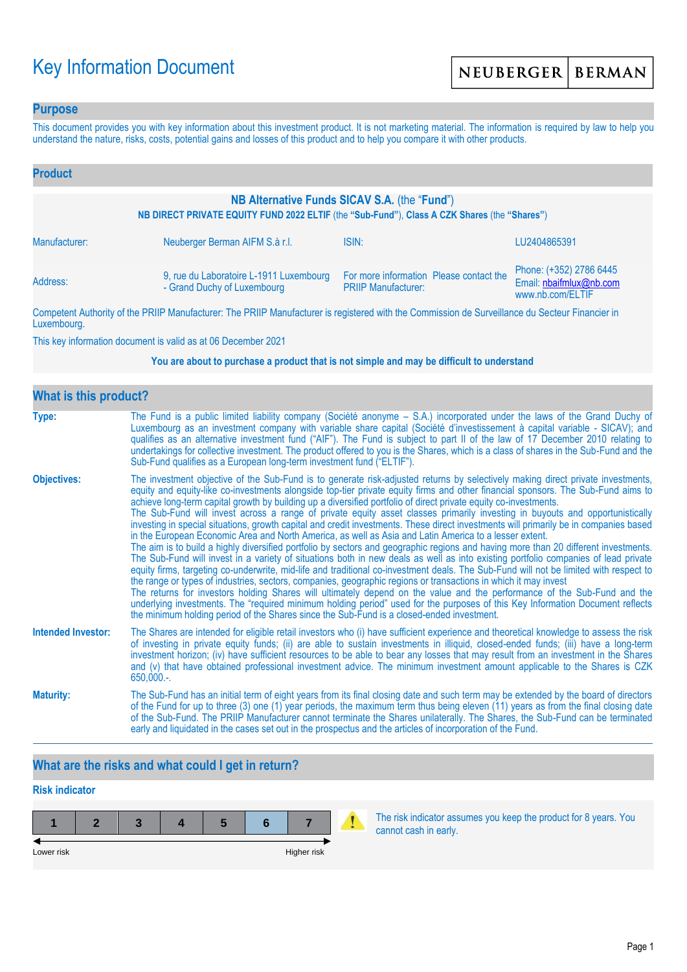# Key Information Document

### **Purpose**

This document provides you with key information about this investment product. It is not marketing material. The information is required by law to help you understand the nature, risks, costs, potential gains and losses of this product and to help you compare it with other products.

| <b>Product</b>                                                                                                                               |                                                                        |                                                                                                                                                                                                                                      |                                                                        |  |
|----------------------------------------------------------------------------------------------------------------------------------------------|------------------------------------------------------------------------|--------------------------------------------------------------------------------------------------------------------------------------------------------------------------------------------------------------------------------------|------------------------------------------------------------------------|--|
| NB Alternative Funds SICAV S.A. (the "Fund")<br>NB DIRECT PRIVATE EQUITY FUND 2022 ELTIF (the "Sub-Fund"), Class A CZK Shares (the "Shares") |                                                                        |                                                                                                                                                                                                                                      |                                                                        |  |
| Manufacturer:                                                                                                                                | Neuberger Berman AIFM S.à r.l.                                         | ISIN:                                                                                                                                                                                                                                | LU2404865391                                                           |  |
| Address:                                                                                                                                     | 9, rue du Laboratoire L-1911 Luxembourg<br>- Grand Duchy of Luxembourg | For more information Please contact the<br><b>PRIIP Manufacturer:</b>                                                                                                                                                                | Phone: (+352) 2786 6445<br>Email: nbaifmlux@nb.com<br>www.nb.com/ELTIF |  |
|                                                                                                                                              |                                                                        | <b>THE BRUSH AND AND AND ACCOUNT AND ACCOUNT AND ACCOUNT AND ACCOUNT AND ACCOUNT ACCOUNT AND ACCOUNT ACCOUNT ACCOUNT ACCOUNT ACCOUNT ACCOUNT ACCOUNT ACCOUNT ACCOUNT ACCOUNT ACCOUNT ACCOUNT ACCOUNT ACCOUNT ACCOUNT ACCOUNT ACC</b> |                                                                        |  |

Competent Authority of the PRIIP Manufacturer: The PRIIP Manufacturer is registered with the Commission de Surveillance du Secteur Financier in Luxembourg.

This key information document is valid as at 06 December 2021

#### **You are about to purchase a product that is not simple and may be difficult to understand**

| <b>What is this product?</b> |                                                                                                                                                                                                                                                                                                                                                                                                                                                                                                                                                                                                                                                                                                                                                                                                                                                                                                                                                                                                                                                                                                                                                                                                                                                                                                                                                                                                                                                                                                                                                                                                                                                                               |  |  |  |
|------------------------------|-------------------------------------------------------------------------------------------------------------------------------------------------------------------------------------------------------------------------------------------------------------------------------------------------------------------------------------------------------------------------------------------------------------------------------------------------------------------------------------------------------------------------------------------------------------------------------------------------------------------------------------------------------------------------------------------------------------------------------------------------------------------------------------------------------------------------------------------------------------------------------------------------------------------------------------------------------------------------------------------------------------------------------------------------------------------------------------------------------------------------------------------------------------------------------------------------------------------------------------------------------------------------------------------------------------------------------------------------------------------------------------------------------------------------------------------------------------------------------------------------------------------------------------------------------------------------------------------------------------------------------------------------------------------------------|--|--|--|
| Type:                        | The Fund is a public limited liability company (Société anonyme – S.A.) incorporated under the laws of the Grand Duchy of<br>Luxembourg as an investment company with variable share capital (Société d'investissement à capital variable - SICAV); and<br>qualifies as an alternative investment fund ("AIF"). The Fund is subject to part II of the law of 17 December 2010 relating to<br>undertakings for collective investment. The product offered to you is the Shares, which is a class of shares in the Sub-Fund and the<br>Sub-Fund qualifies as a European long-term investment fund ("ELTIF").                                                                                                                                                                                                                                                                                                                                                                                                                                                                                                                                                                                                                                                                                                                                                                                                                                                                                                                                                                                                                                                                    |  |  |  |
| <b>Objectives:</b>           | The investment objective of the Sub-Fund is to generate risk-adjusted returns by selectively making direct private investments,<br>equity and equity-like co-investments alongside top-tier private equity firms and other financial sponsors. The Sub-Fund aims to<br>achieve long-term capital growth by building up a diversified portfolio of direct private equity co-investments.<br>The Sub-Fund will invest across a range of private equity asset classes primarily investing in buyouts and opportunistically<br>investing in special situations, growth capital and credit investments. These direct investments will primarily be in companies based<br>in the European Economic Area and North America, as well as Asia and Latin America to a lesser extent.<br>The aim is to build a highly diversified portfolio by sectors and geographic regions and having more than 20 different investments.<br>The Sub-Fund will invest in a variety of situations both in new deals as well as into existing portfolio companies of lead private<br>equity firms, targeting co-underwrite, mid-life and traditional co-investment deals. The Sub-Fund will not be limited with respect to<br>the range or types of industries, sectors, companies, geographic regions or transactions in which it may invest<br>The returns for investors holding Shares will ultimately depend on the value and the performance of the Sub-Fund and the<br>underlying investments. The "required minimum holding period" used for the purposes of this Key Information Document reflects<br>the minimum holding period of the Shares since the Sub-Fund is a closed-ended investment. |  |  |  |
| <b>Intended Investor:</b>    | The Shares are intended for eligible retail investors who (i) have sufficient experience and theoretical knowledge to assess the risk<br>of investing in private equity funds; (ii) are able to sustain investments in illiquid, closed-ended funds; (iii) have a long-term<br>investment horizon; (iv) have sufficient resources to be able to bear any losses that may result from an investment in the Shares<br>and (v) that have obtained professional investment advice. The minimum investment amount applicable to the Shares is CZK<br>$650,000.$ -.                                                                                                                                                                                                                                                                                                                                                                                                                                                                                                                                                                                                                                                                                                                                                                                                                                                                                                                                                                                                                                                                                                                 |  |  |  |
| <b>Maturity:</b>             | The Sub-Fund has an initial term of eight years from its final closing date and such term may be extended by the board of directors<br>of the Fund for up to three (3) one (1) year periods, the maximum term thus being eleven (11) years as from the final closing date<br>of the Sub-Fund. The PRIIP Manufacturer cannot terminate the Shares unilaterally. The Shares, the Sub-Fund can be terminated<br>early and liquidated in the cases set out in the prospectus and the articles of incorporation of the Fund.                                                                                                                                                                                                                                                                                                                                                                                                                                                                                                                                                                                                                                                                                                                                                                                                                                                                                                                                                                                                                                                                                                                                                       |  |  |  |

# **What are the risks and what could I get in return?**

# **Risk indicator**



The risk indicator assumes you keep the product for 8 years. You cannot cash in early.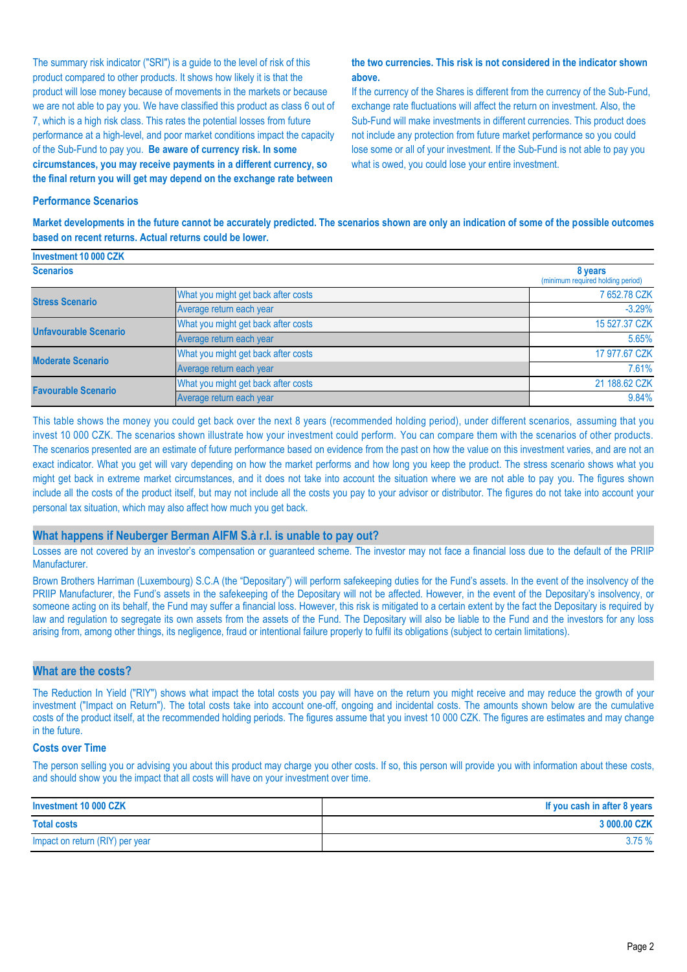The summary risk indicator ("SRI") is a guide to the level of risk of this product compared to other products. It shows how likely it is that the product will lose money because of movements in the markets or because we are not able to pay you. We have classified this product as class 6 out of 7, which is a high risk class. This rates the potential losses from future performance at a high-level, and poor market conditions impact the capacity of the Sub-Fund to pay you. **Be aware of currency risk. In some circumstances, you may receive payments in a different currency, so the final return you will get may depend on the exchange rate between** 

#### **the two currencies. This risk is not considered in the indicator shown above.**

If the currency of the Shares is different from the currency of the Sub-Fund, exchange rate fluctuations will affect the return on investment. Also, the Sub-Fund will make investments in different currencies. This product does not include any protection from future market performance so you could lose some or all of your investment. If the Sub-Fund is not able to pay you what is owed, you could lose your entire investment.

#### **Performance Scenarios**

**Investment 10 000 CZK**

**Market developments in the future cannot be accurately predicted. The scenarios shown are only an indication of some of the possible outcomes based on recent returns. Actual returns could be lower.**

| <b>INVESUMENT IV VUU UZN</b> |                                     |                                              |
|------------------------------|-------------------------------------|----------------------------------------------|
| <b>Scenarios</b>             |                                     | 8 years<br>(minimum required holding period) |
| <b>Stress Scenario</b>       | What you might get back after costs | 7 652.78 CZK                                 |
|                              | Average return each year            | $-3.29%$                                     |
| <b>Unfavourable Scenario</b> | What you might get back after costs | 15 527.37 CZK                                |
|                              | Average return each year            | 5.65%                                        |
| <b>Moderate Scenario</b>     | What you might get back after costs | 17 977.67 CZK                                |
|                              | Average return each year            | 7.61%                                        |
| <b>Favourable Scenario</b>   | What you might get back after costs | 21 188.62 CZK                                |
|                              | Average return each year            | 9.84%                                        |

This table shows the money you could get back over the next 8 years (recommended holding period), under different scenarios, assuming that you invest 10 000 CZK. The scenarios shown illustrate how your investment could perform. You can compare them with the scenarios of other products. The scenarios presented are an estimate of future performance based on evidence from the past on how the value on this investment varies, and are not an exact indicator. What you get will vary depending on how the market performs and how long you keep the product. The stress scenario shows what you might get back in extreme market circumstances, and it does not take into account the situation where we are not able to pay you. The figures shown include all the costs of the product itself, but may not include all the costs you pay to your advisor or distributor. The figures do not take into account your personal tax situation, which may also affect how much you get back.

#### **What happens if Neuberger Berman AIFM S.à r.l. is unable to pay out?**

Losses are not covered by an investor's compensation or guaranteed scheme. The investor may not face a financial loss due to the default of the PRIIP Manufacturer.

Brown Brothers Harriman (Luxembourg) S.C.A (the "Depositary") will perform safekeeping duties for the Fund's assets. In the event of the insolvency of the PRIIP Manufacturer, the Fund's assets in the safekeeping of the Depositary will not be affected. However, in the event of the Depositary's insolvency, or someone acting on its behalf, the Fund may suffer a financial loss. However, this risk is mitigated to a certain extent by the fact the Depositary is required by law and regulation to segregate its own assets from the assets of the Fund. The Depositary will also be liable to the Fund and the investors for any loss arising from, among other things, its negligence, fraud or intentional failure properly to fulfil its obligations (subject to certain limitations).

#### **What are the costs?**

The Reduction In Yield ("RIY") shows what impact the total costs you pay will have on the return you might receive and may reduce the growth of your investment ("Impact on Return"). The total costs take into account one-off, ongoing and incidental costs. The amounts shown below are the cumulative costs of the product itself, at the recommended holding periods. The figures assume that you invest 10 000 CZK. The figures are estimates and may change in the future.

#### **Costs over Time**

The person selling you or advising you about this product may charge you other costs. If so, this person will provide you with information about these costs, and should show you the impact that all costs will have on your investment over time.

| Investment 10 000 CZK           | If you cash in after 8 years |
|---------------------------------|------------------------------|
| <b>Total costs</b>              | 3 000.00 CZK                 |
| Impact on return (RIY) per year | 3.75%                        |